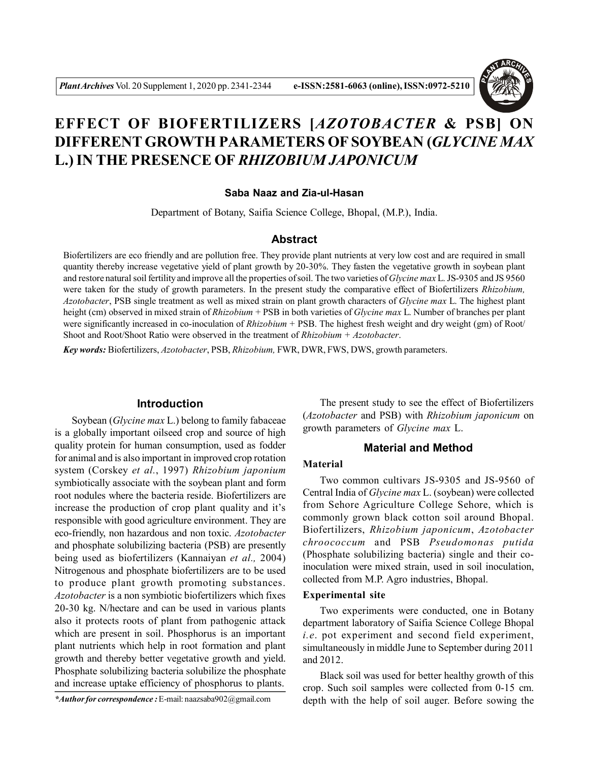

# **EFFECT OF BIOFERTILIZERS [***AZOTOBACTER* **& PSB] ON DIFFERENT GROWTH PARAMETERS OF SOYBEAN (***GLYCINE MAX* **L.) IN THE PRESENCE OF** *RHIZOBIUM JAPONICUM*

#### **Saba Naaz and Zia-ul-Hasan**

Department of Botany, Saifia Science College, Bhopal, (M.P.), India.

## **Abstract**

Biofertilizers are eco friendly and are pollution free. They provide plant nutrients at very low cost and are required in small quantity thereby increase vegetative yield of plant growth by 20-30%. They fasten the vegetative growth in soybean plant and restore natural soil fertility and improve all the properties of soil. The two varieties of *Glycine max* L. JS-9305 and JS 9560 were taken for the study of growth parameters. In the present study the comparative effect of Biofertilizers *Rhizobium, Azotobacter*, PSB single treatment as well as mixed strain on plant growth characters of *Glycine max* L. The highest plant height (cm) observed in mixed strain of *Rhizobium* + PSB in both varieties of *Glycine max* L. Number of branches per plant were significantly increased in co-inoculation of *Rhizobium* + PSB. The highest fresh weight and dry weight (gm) of Root/ Shoot and Root/Shoot Ratio were observed in the treatment of *Rhizobium* + *Azotobacter*.

*Key words:* Biofertilizers, *Azotobacter*, PSB, *Rhizobium,* FWR, DWR, FWS, DWS, growth parameters.

#### **Introduction**

Soybean (*Glycine max* L.) belong to family fabaceae is a globally important oilseed crop and source of high quality protein for human consumption, used as fodder for animal and is also important in improved crop rotation system (Corskey *et al.*, 1997) *Rhizobium japonium* symbiotically associate with the soybean plant and form root nodules where the bacteria reside. Biofertilizers are increase the production of crop plant quality and it's responsible with good agriculture environment. They are eco-friendly, non hazardous and non toxic. *Azotobacter* and phosphate solubilizing bacteria (PSB) are presently being used as biofertilizers (Kannaiyan *et al.,* 2004) Nitrogenous and phosphate biofertilizers are to be used to produce plant growth promoting substances. *Azotobacter* is a non symbiotic biofertilizers which fixes 20-30 kg. N/hectare and can be used in various plants also it protects roots of plant from pathogenic attack which are present in soil. Phosphorus is an important plant nutrients which help in root formation and plant growth and thereby better vegetative growth and yield. Phosphate solubilizing bacteria solubilize the phosphate and increase uptake efficiency of phosphorus to plants.

*\*Author for correspondence :* E-mail: naazsaba902@gmail.com

The present study to see the effect of Biofertilizers (*Azotobacter* and PSB) with *Rhizobium japonicum* on growth parameters of *Glycine max* L.

## **Material and Method**

## **Material**

Two common cultivars JS-9305 and JS-9560 of Central India of *Glycine max* L. (soybean) were collected from Sehore Agriculture College Sehore, which is commonly grown black cotton soil around Bhopal. Biofertilizers, *Rhizobium japonicum*, *Azotobacter chroococcum* and PSB *Pseudomonas putida* (Phosphate solubilizing bacteria) single and their coinoculation were mixed strain, used in soil inoculation, collected from M.P. Agro industries, Bhopal.

#### **Experimental site**

Two experiments were conducted, one in Botany department laboratory of Saifia Science College Bhopal *i.e*. pot experiment and second field experiment, simultaneously in middle June to September during 2011 and 2012.

Black soil was used for better healthy growth of this crop. Such soil samples were collected from 0-15 cm. depth with the help of soil auger. Before sowing the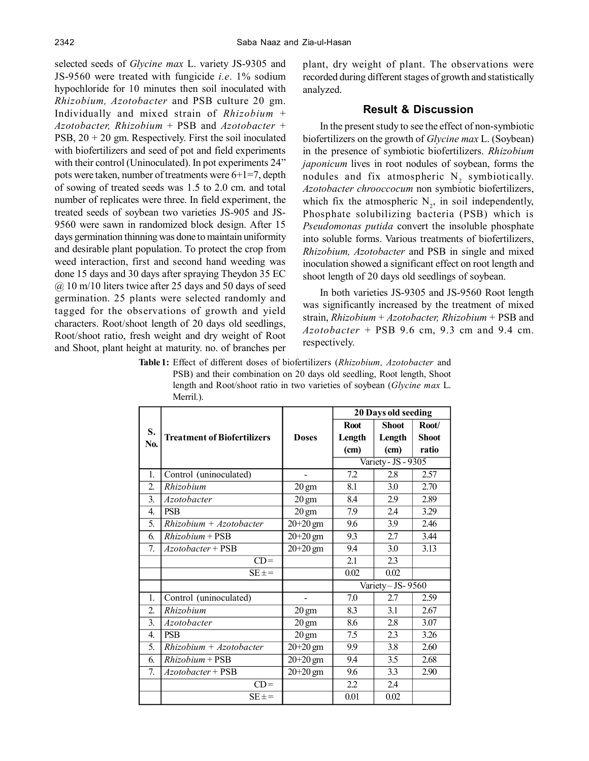selected seeds of *Glycine max* L. variety JS-9305 and JS-9560 were treated with fungicide *i.e*. 1% sodium hypochloride for 10 minutes then soil inoculated with *Rhizobium, Azotobacter* and PSB culture 20 gm. Individually and mixed strain of *Rhizobium* + *Azotobacter, Rhizobium* + PSB and *Azotobacter* + PSB,  $20 + 20$  gm. Respectively. First the soil inoculated with biofertilizers and seed of pot and field experiments with their control (Uninoculated). In pot experiments 24" pots were taken, number of treatments were 6+1=7, depth of sowing of treated seeds was 1.5 to 2.0 cm. and total number of replicates were three. In field experiment, the treated seeds of soybean two varieties JS-905 and JS-9560 were sawn in randomized block design. After 15 days germination thinning was done to maintain uniformity and desirable plant population. To protect the crop from weed interaction, first and second hand weeding was done 15 days and 30 days after spraying Theydon 35 EC  $\omega$  10 m/10 liters twice after 25 days and 50 days of seed germination. 25 plants were selected randomly and tagged for the observations of growth and yield characters. Root/shoot length of 20 days old seedlings, Root/shoot ratio, fresh weight and dry weight of Root and Shoot, plant height at maturity. no. of branches per plant, dry weight of plant. The observations were recorded during different stages of growth and statistically analyzed.

## **Result & Discussion**

In the present study to see the effect of non-symbiotic biofertilizers on the growth of *Glycine max* L. (Soybean) in the presence of symbiotic biofertilizers. *Rhizobium japonicum* lives in root nodules of soybean, forms the nodules and fix atmospheric  $N_2$  symbiotically. *Azotobacter chrooccocum* non symbiotic biofertilizers, which fix the atmospheric  $N_2$ , in soil independently, Phosphate solubilizing bacteria (PSB) which is *Pseudomonas putida* convert the insoluble phosphate into soluble forms. Various treatments of biofertilizers, *Rhizobium, Azotobacter* and PSB in single and mixed inoculation showed a significant effect on root length and shoot length of 20 days old seedlings of soybean.

In both varieties JS-9305 and JS-9560 Root length was significantly increased by the treatment of mixed strain, *Rhizobium* + *Azotobacter, Rhizobium* + PSB and *Azotobacter* + PSB 9.6 cm, 9.3 cm and 9.4 cm. respectively.

**Table 1:** Effect of different doses of biofertilizers (*Rhizobium, Azotobacter* and PSB) and their combination on 20 days old seedling, Root length, Shoot length and Root/shoot ratio in two varieties of soybean (*Glycine max* L. Merril.).

|                  | <b>Treatment of Biofertilizers</b> | <b>Doses</b>            | 20 Days old seeding |              |              |  |
|------------------|------------------------------------|-------------------------|---------------------|--------------|--------------|--|
| S.<br>No.        |                                    |                         | <b>Root</b>         | <b>Shoot</b> | Root/        |  |
|                  |                                    |                         | Length              | Length       | <b>Shoot</b> |  |
|                  |                                    |                         | (cm)                | (cm)         | ratio        |  |
|                  |                                    |                         | Variety - JS - 9305 |              |              |  |
| 1.               | Control (uninoculated)             |                         | 7.2                 | 2.8          | 2.57         |  |
| $\overline{2}$ . | Rhizobium                          | $20 \text{ gm}$         | 8.1                 | 3.0          | 2.70         |  |
| 3.               | Azotobacter                        | $20 \text{ gm}$         | 8.4                 | 2.9          | 2.89         |  |
| $\overline{4}$ . | <b>PSB</b>                         | $20 \text{ gm}$         | 7.9                 | 2.4          | 3.29         |  |
| 5.               | $Rhizobium + Azotobacter$          | $20+20$ gm              | 9.6                 | 3.9          | 2.46         |  |
| 6.               | $Rhizobium + PSB$                  | $\overline{2}0 + 20$ gm | 9.3                 | 2.7          | 3.44         |  |
| $\tau$           | $Azotobacter + PSB$                | $20 + 20$ gm            | 94                  | 3.0          | 3.13         |  |
|                  | $CD =$                             |                         | $\overline{2.1}$    | 2.3          |              |  |
|                  | $SE \pm =$                         |                         | 0.02                | 0.02         |              |  |
|                  |                                    |                         | Variety-JS- $9560$  |              |              |  |
| 1.               | Control (uninoculated)             |                         | 7.0                 | 27           | 2.59         |  |
| $\overline{2}$ . | Rhizobium                          | $20 \text{ gm}$         | 8.3                 | 3.1          | 2.67         |  |
| 3.               | Azotobacter                        | $20 \text{ gm}$         | 8.6                 | 2.8          | 3.07         |  |
| $\overline{4}$ . | <b>PSB</b>                         | $20 \text{ gm}$         | 7.5                 | 2.3          | 3.26         |  |
| 5 <sub>1</sub>   | $Rhizobium + Azotobacter$          | $20+20$ gm              | 9.9                 | 3.8          | 2.60         |  |
| 6.               | $Rhizobium + PSB$                  | $20+20$ gm              | 94                  | 3.5          | 2.68         |  |
| 7.               | $Azotobacter + PSB$                | $20+20$ gm              | 9.6                 | 3.3          | 2.90         |  |
|                  | $CD =$                             |                         | 2.2                 | 2.4          |              |  |
|                  | $SE \pm =$                         |                         | 0.01                | 0.02         |              |  |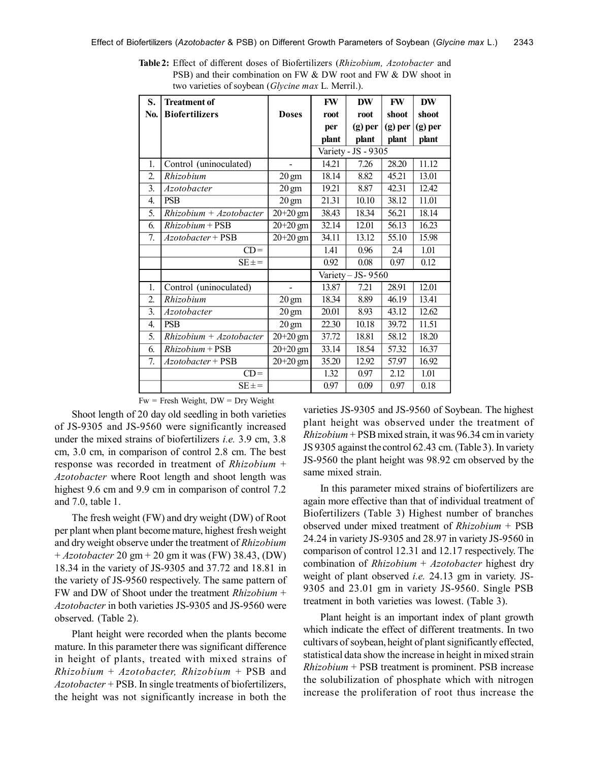| S.               | <b>Treatment of</b>       |                 | FW                  | <b>DW</b> | <b>FW</b> | <b>DW</b> |
|------------------|---------------------------|-----------------|---------------------|-----------|-----------|-----------|
| No.              | <b>Biofertilizers</b>     | <b>Doses</b>    | root                | root      | shoot     | shoot     |
|                  |                           |                 | per                 | $(g)$ per | $(g)$ per | $(g)$ per |
|                  |                           |                 | plant               | plant     | plant     | plant     |
|                  |                           |                 | Variety - JS - 9305 |           |           |           |
| 1.               | Control (uninoculated)    |                 | 14.21               | 7.26      | 28.20     | 11.12     |
| 2.               | Rhizobium                 | $20 \text{ gm}$ | 18.14               | 8.82      | 45.21     | 13.01     |
| $\overline{3}$ . | Azotobacter               | $20 \text{ gm}$ | 19.21               | 8.87      | 42.31     | 12.42     |
| 4.               | <b>PSB</b>                | $20 \text{ gm}$ | 21.31               | 10.10     | 38.12     | 11.01     |
| 5.               | $Rhizobium + Azotobacter$ | $20+20$ gm      | 38.43               | 18.34     | 56.21     | 18.14     |
| 6.               | $Rhizobium + PSB$         | $20+20$ gm      | 32.14               | 12.01     | 56.13     | 16.23     |
| 7.               | Azotobacter + PSB         | $20+20$ gm      | 34.11               | 13.12     | 55.10     | 15.98     |
|                  | $CD =$                    |                 | 1.41                | 0.96      | 2.4       | 1.01      |
|                  | $SE \pm =$                |                 | 0.92                | 0.08      | 0.97      | 0.12      |
|                  |                           |                 | Variety - JS-9560   |           |           |           |
| 1.               | Control (uninoculated)    |                 | 13.87               | 7.21      | 28.91     | 12.01     |
| $\overline{2}$ . | Rhizobium                 | $20 \text{ gm}$ | 18.34               | 8.89      | 46.19     | 13.41     |
| $\overline{3}$ . | <i>Azotobacter</i>        | $20 \text{ gm}$ | 20.01               | 8.93      | 43.12     | 12.62     |
| 4.               | <b>PSB</b>                | $20 \text{ gm}$ | 22.30               | 10.18     | 39.72     | 11.51     |
| 5.               | $Rhizobium + Azotobacter$ | $20 + 20$ gm    | 37.72               | 18.81     | 58.12     | 18.20     |
| 6.               | $Rhizobium + PSB$         | $20+20$ gm      | 33.14               | 18.54     | 57.32     | 16.37     |
| 7.               | Azotobacter + PSB         | $20+20$ gm      | 35.20               | 12.92     | 57.97     | 16.92     |
|                  | $CD =$                    |                 | 1.32                | 0.97      | 2.12      | 1.01      |
|                  | $SE \pm =$                |                 | 0.97                | 0.09      | 0.97      | 0.18      |

**Table 2:** Effect of different doses of Biofertilizers (*Rhizobium, Azotobacter* and PSB) and their combination on FW & DW root and FW & DW shoot in two varieties of soybean (*Glycine max* L. Merril.).

 $Fw =$  Fresh Weight,  $DW = Dry$  Weight

Shoot length of 20 day old seedling in both varieties of JS-9305 and JS-9560 were significantly increased under the mixed strains of biofertilizers *i.e.* 3.9 cm, 3.8 cm, 3.0 cm, in comparison of control 2.8 cm. The best response was recorded in treatment of *Rhizobium* + *Azotobacter* where Root length and shoot length was highest 9.6 cm and 9.9 cm in comparison of control 7.2 and 7.0, table 1.

The fresh weight (FW) and dry weight (DW) of Root per plant when plant become mature, highest fresh weight and dry weight observe under the treatment of *Rhizobium* + *Azotobacter* 20 gm + 20 gm it was (FW) 38.43, (DW) 18.34 in the variety of JS-9305 and 37.72 and 18.81 in the variety of JS-9560 respectively. The same pattern of FW and DW of Shoot under the treatment *Rhizobium* + *Azotobacter* in both varieties JS-9305 and JS-9560 were observed. (Table 2).

Plant height were recorded when the plants become mature. In this parameter there was significant difference in height of plants, treated with mixed strains of *Rhizobium* + *Azotobacter, Rhizobium* + PSB and *Azotobacter* + PSB. In single treatments of biofertilizers, the height was not significantly increase in both the

varieties JS-9305 and JS-9560 of Soybean. The highest plant height was observed under the treatment of *Rhizobium* + PSB mixed strain, it was 96.34 cm in variety JS 9305 against the control 62.43 cm. (Table 3). In variety JS-9560 the plant height was 98.92 cm observed by the same mixed strain.

In this parameter mixed strains of biofertilizers are again more effective than that of individual treatment of Biofertilizers (Table 3) Highest number of branches observed under mixed treatment of *Rhizobium* + PSB 24.24 in variety JS-9305 and 28.97 in variety JS-9560 in comparison of control 12.31 and 12.17 respectively. The combination of *Rhizobium* + *Azotobacter* highest dry weight of plant observed *i.e.* 24.13 gm in variety. JS-9305 and 23.01 gm in variety JS-9560. Single PSB treatment in both varieties was lowest. (Table 3).

Plant height is an important index of plant growth which indicate the effect of different treatments. In two cultivars of soybean, height of plant significantly effected, statistical data show the increase in height in mixed strain *Rhizobium* + PSB treatment is prominent. PSB increase the solubilization of phosphate which with nitrogen increase the proliferation of root thus increase the